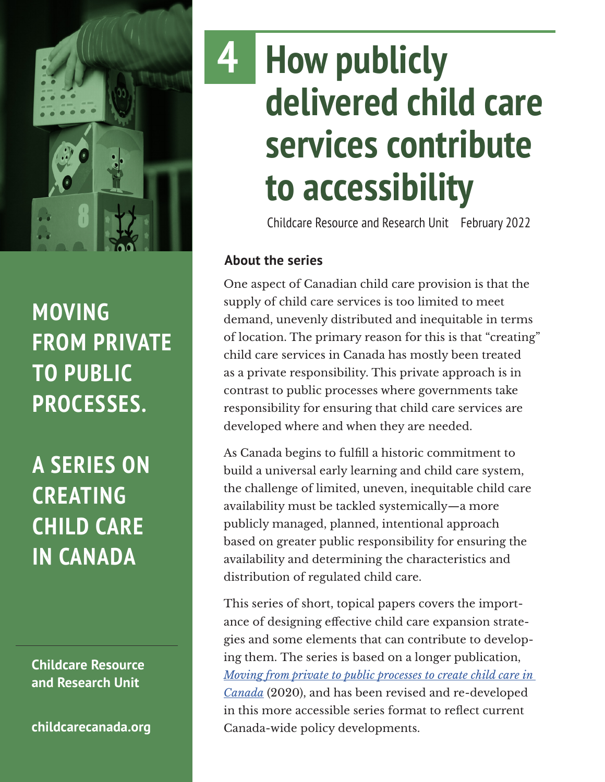

## **MOVING FROM PRIVATE TO PUBLIC PROCESSES.**

**A SERIES ON CREATING CHILD CARE IN CANADA**

**Childcare Resource and Research Unit**

**[childcarecanada.org](http://childcarecanada.org)**

## **How publicly delivered child care services contribute to accessibility 4**

Childcare Resource and Research Unit February 2022

## **About the series**

One aspect of Canadian child care provision is that the supply of child care services is too limited to meet demand, unevenly distributed and inequitable in terms of location. The primary reason for this is that "creating" child care services in Canada has mostly been treated as a private responsibility. This private approach is in contrast to public processes where governments take responsibility for ensuring that child care services are developed where and when they are needed.

As Canada begins to fulfill a historic commitment to build a universal early learning and child care system, the challenge of limited, uneven, inequitable child care availability must be tackled systemically—a more publicly managed, planned, intentional approach based on greater public responsibility for ensuring the availability and determining the characteristics and distribution of regulated child care.

This series of short, topical papers covers the importance of designing effective child care expansion strategies and some elements that can contribute to developing them. The series is based on a longer publication, *[Moving from private to public processes to create child care in](https://childcarecanada.org/publications/other-publications/20/12/moving-private-public-processes-create-child-care-canada)  [Canada](https://childcarecanada.org/publications/other-publications/20/12/moving-private-public-processes-create-child-care-canada)* (2020), and has been revised and re-developed in this more accessible series format to reflect current Canada-wide policy developments.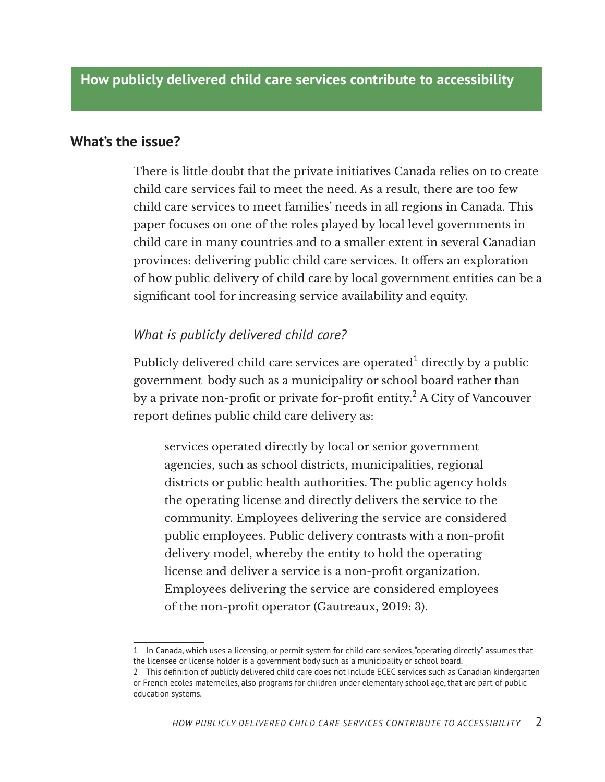#### **What's the issue?**

There is little doubt that the private initiatives Canada relies on to create child care services fail to meet the need. As a result, there are too few child care services to meet families' needs in all regions in Canada. This paper focuses on one of the roles played by local level governments in child care in many countries and to a smaller extent in several Canadian provinces: delivering public child care services. It offers an exploration of how public delivery of child care by local government entities can be a significant tool for increasing service availability and equity.

#### *What is publicly delivered child care?*

Publicly delivered child care services are operated $^1$  directly by a public government body such as a municipality or school board rather than by a private non-profit or private for-profit entity. $^2$  A City of Vancouver report defines public child care delivery as:

services operated directly by local or senior government agencies, such as school districts, municipalities, regional districts or public health authorities. The public agency holds the operating license and directly delivers the service to the community. Employees delivering the service are considered public employees. Public delivery contrasts with a non-profit delivery model, whereby the entity to hold the operating license and deliver a service is a non-profit organization. Employees delivering the service are considered employees of the non-profit operator (Gautreaux, 2019: 3).

<sup>1</sup> In Canada, which uses a licensing, or permit system for child care services, "operating directly" assumes that the licensee or license holder is a government body such as a municipality or school board.

<sup>2</sup> This definition of publicly delivered child care does not include ECEC services such as Canadian kindergarten or French ecoles maternelles, also programs for children under elementary school age, that are part of public education systems.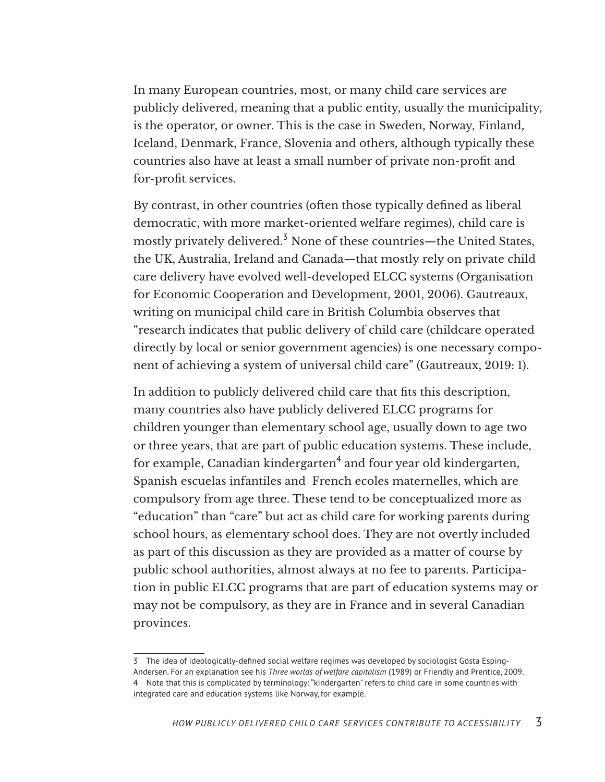In many European countries, most, or many child care services are publicly delivered, meaning that a public entity, usually the municipality, is the operator, or owner. This is the case in Sweden, Norway, Finland, Iceland, Denmark, France, Slovenia and others, although typically these countries also have at least a small number of private non-profit and for-profit services.

By contrast, in other countries (often those typically defined as liberal democratic, with more market-oriented welfare regimes), child care is mostly privately delivered. $^3$  None of these countries—the United States, the UK, Australia, Ireland and Canada—that mostly rely on private child care delivery have evolved well-developed ELCC systems (Organisation for Economic Cooperation and Development, 2001, 2006). Gautreaux, writing on municipal child care in British Columbia observes that "research indicates that public delivery of child care (childcare operated directly by local or senior government agencies) is one necessary component of achieving a system of universal child care" (Gautreaux, 2019: 1).

In addition to publicly delivered child care that fits this description, many countries also have publicly delivered ELCC programs for children younger than elementary school age, usually down to age two or three years, that are part of public education systems. These include, for example, Canadian kindergarten $^4$  and four year old kindergarten, Spanish escuelas infantiles and French ecoles maternelles, which are compulsory from age three. These tend to be conceptualized more as "education" than "care" but act as child care for working parents during school hours, as elementary school does. They are not overtly included as part of this discussion as they are provided as a matter of course by public school authorities, almost always at no fee to parents. Participation in public ELCC programs that are part of education systems may or may not be compulsory, as they are in France and in several Canadian provinces.

<sup>3</sup> The idea of ideologically-defined social welfare regimes was developed by sociologist Gösta Esping-Andersen. For an explanation see his *Three worlds of welfare capitalism* (1989) or Friendly and Prentice, 2009. 4 Note that this is complicated by terminology: "kindergarten" refers to child care in some countries with integrated care and education systems like Norway, for example.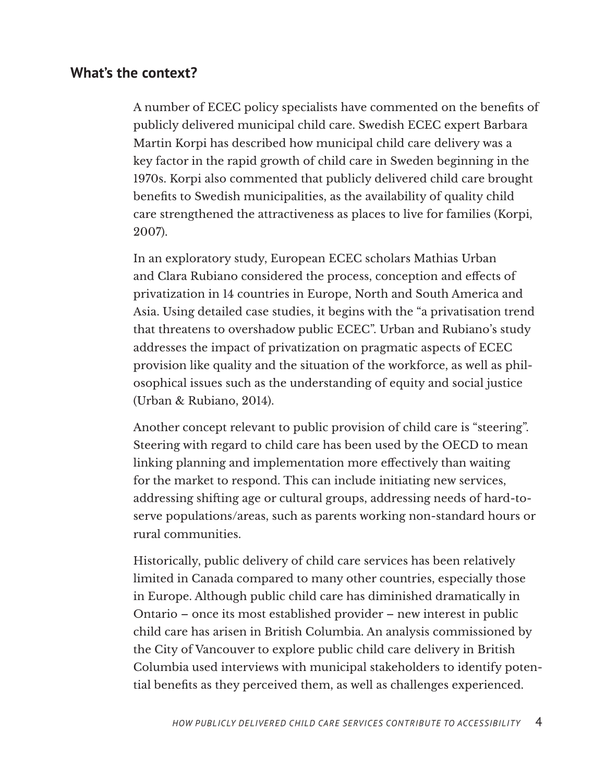## **What's the context?**

A number of ECEC policy specialists have commented on the benefits of publicly delivered municipal child care. Swedish ECEC expert Barbara Martin Korpi has described how municipal child care delivery was a key factor in the rapid growth of child care in Sweden beginning in the 1970s. Korpi also commented that publicly delivered child care brought benefits to Swedish municipalities, as the availability of quality child care strengthened the attractiveness as places to live for families (Korpi, 2007).

In an exploratory study, European ECEC scholars Mathias Urban and Clara Rubiano considered the process, conception and effects of privatization in 14 countries in Europe, North and South America and Asia. Using detailed case studies, it begins with the "a privatisation trend that threatens to overshadow public ECEC". Urban and Rubiano's study addresses the impact of privatization on pragmatic aspects of ECEC provision like quality and the situation of the workforce, as well as philosophical issues such as the understanding of equity and social justice (Urban & Rubiano, 2014).

Another concept relevant to public provision of child care is "steering". Steering with regard to child care has been used by the OECD to mean linking planning and implementation more effectively than waiting for the market to respond. This can include initiating new services, addressing shifting age or cultural groups, addressing needs of hard-toserve populations/areas, such as parents working non-standard hours or rural communities.

Historically, public delivery of child care services has been relatively limited in Canada compared to many other countries, especially those in Europe. Although public child care has diminished dramatically in Ontario – once its most established provider – new interest in public child care has arisen in British Columbia. An analysis commissioned by the City of Vancouver to explore public child care delivery in British Columbia used interviews with municipal stakeholders to identify potential benefits as they perceived them, as well as challenges experienced.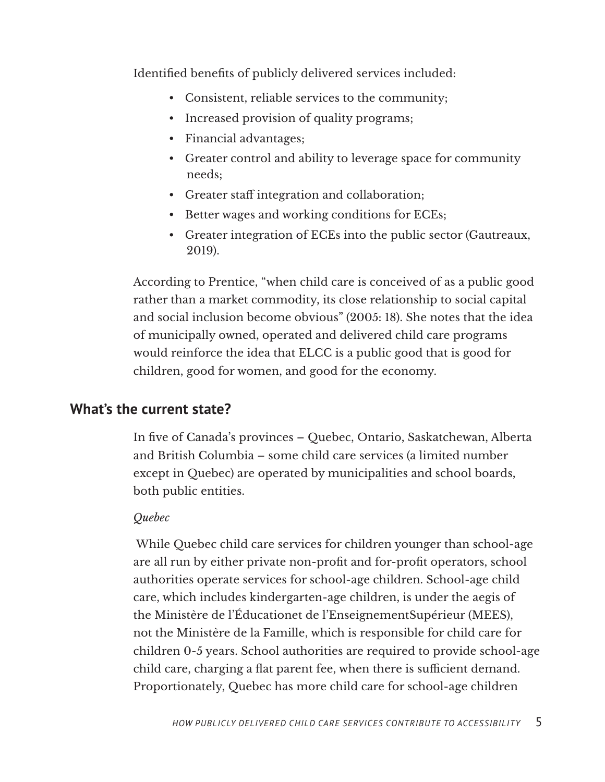Identified benefits of publicly delivered services included:

- Consistent, reliable services to the community;
- Increased provision of quality programs;
- Financial advantages;
- Greater control and ability to leverage space for community needs;
- Greater staff integration and collaboration;
- Better wages and working conditions for ECEs;
- Greater integration of ECEs into the public sector (Gautreaux, 2019).

According to Prentice, "when child care is conceived of as a public good rather than a market commodity, its close relationship to social capital and social inclusion become obvious" (2005: 18). She notes that the idea of municipally owned, operated and delivered child care programs would reinforce the idea that ELCC is a public good that is good for children, good for women, and good for the economy.

## **What's the current state?**

In five of Canada's provinces – Quebec, Ontario, Saskatchewan, Alberta and British Columbia – some child care services (a limited number except in Quebec) are operated by municipalities and school boards, both public entities.

## *Quebec*

 While Quebec child care services for children younger than school-age are all run by either private non-profit and for-profit operators, school authorities operate services for school-age children. School-age child care, which includes kindergarten-age children, is under the aegis of the Ministère de l'Éducationet de l'EnseignementSupérieur (MEES), not the Ministère de la Famille, which is responsible for child care for children 0-5 years. School authorities are required to provide school-age child care, charging a flat parent fee, when there is sufficient demand. Proportionately, Quebec has more child care for school-age children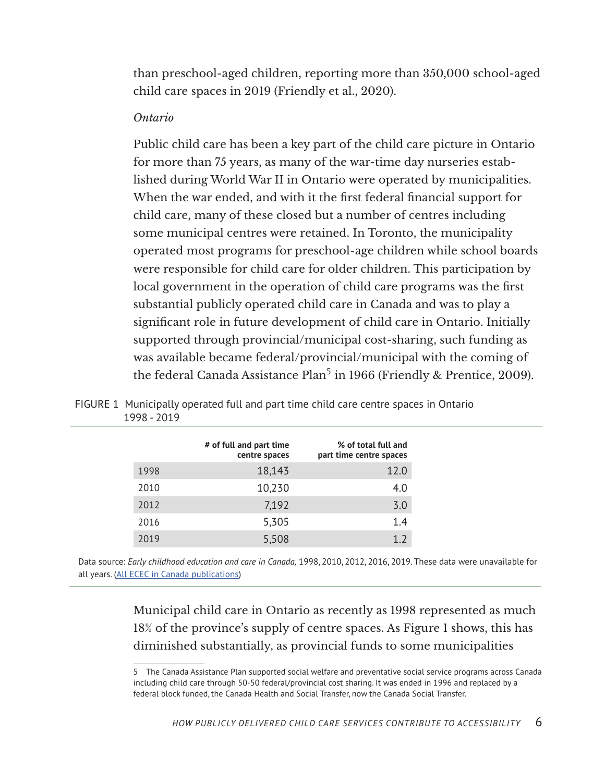than preschool-aged children, reporting more than 350,000 school-aged child care spaces in 2019 (Friendly et al., 2020).

#### *Ontario*

Public child care has been a key part of the child care picture in Ontario for more than 75 years, as many of the war-time day nurseries established during World War II in Ontario were operated by municipalities. When the war ended, and with it the first federal financial support for child care, many of these closed but a number of centres including some municipal centres were retained. In Toronto, the municipality operated most programs for preschool-age children while school boards were responsible for child care for older children. This participation by local government in the operation of child care programs was the first substantial publicly operated child care in Canada and was to play a significant role in future development of child care in Ontario. Initially supported through provincial/municipal cost-sharing, such funding as was available became federal/provincial/municipal with the coming of the federal Canada Assistance Plan<sup>5</sup> in 1966 (Friendly & Prentice, 2009).

|      | # of full and part time<br>centre spaces | % of total full and<br>part time centre spaces |
|------|------------------------------------------|------------------------------------------------|
| 1998 | 18,143                                   | 12.0                                           |
| 2010 | 10,230                                   | 4.0                                            |
| 2012 | 7,192                                    | 3.0                                            |
| 2016 | 5,305                                    | 1.4                                            |
| 2019 | 5,508                                    | 1.2                                            |
|      |                                          |                                                |

FIGURE 1 Municipally operated full and part time child care centre spaces in Ontario 1998 - 2019

Data source: *Early childhood education and care in Canada,* 1998, 2010, 2012, 2016, 2019. These data were unavailable for all years. (All ECEC in Canada [publications](https://childcarecanada.org/publications/ecec-in-canada))

> Municipal child care in Ontario as recently as 1998 represented as much 18% of the province's supply of centre spaces. As Figure 1 shows, this has diminished substantially, as provincial funds to some municipalities

<sup>5</sup> The Canada Assistance Plan supported social welfare and preventative social service programs across Canada including child care through 50-50 federal/provincial cost sharing. It was ended in 1996 and replaced by a federal block funded, the Canada Health and Social Transfer, now the Canada Social Transfer.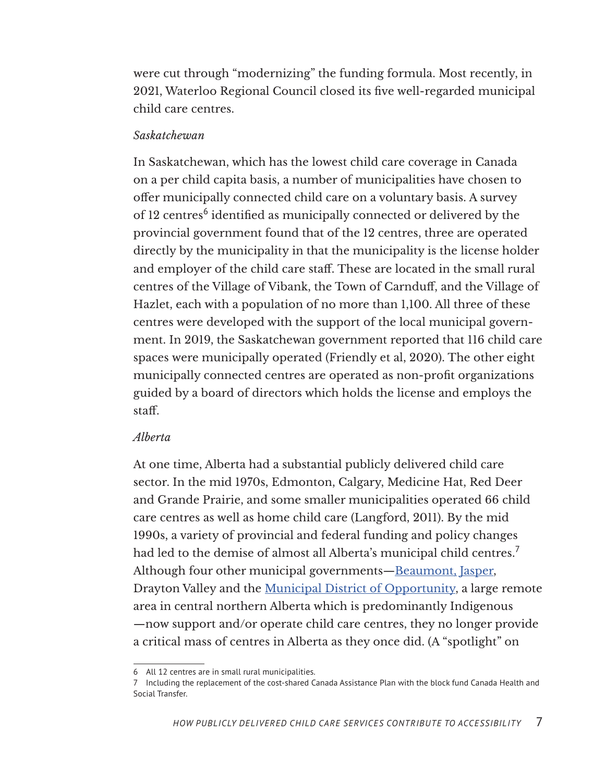were cut through "modernizing" the funding formula. Most recently, in 2021, Waterloo Regional Council closed its five well-regarded municipal child care centres.

#### *Saskatchewan*

In Saskatchewan, which has the lowest child care coverage in Canada on a per child capita basis, a number of municipalities have chosen to offer municipally connected child care on a voluntary basis. A survey of 12 centres<sup>6</sup> identified as municipally connected or delivered by the provincial government found that of the 12 centres, three are operated directly by the municipality in that the municipality is the license holder and employer of the child care staff. These are located in the small rural centres of the Village of Vibank, the Town of Carnduff, and the Village of Hazlet, each with a population of no more than 1,100. All three of these centres were developed with the support of the local municipal government. In 2019, the Saskatchewan government reported that 116 child care spaces were municipally operated (Friendly et al, 2020). The other eight municipally connected centres are operated as non-profit organizations guided by a board of directors which holds the license and employs the staff.

#### *Alberta*

At one time, Alberta had a substantial publicly delivered child care sector. In the mid 1970s, Edmonton, Calgary, Medicine Hat, Red Deer and Grande Prairie, and some smaller municipalities operated 66 child care centres as well as home child care (Langford, 2011). By the mid 1990s, a variety of provincial and federal funding and policy changes had led to the demise of almost all Alberta's municipal child centres.<sup>7</sup> Although four other municipal governments—[Beaumont](https://www.beaumont.ab.ca/226/Child-Care-Services), [Jasper,](https://www.jasper-alberta.com/2173/Childcare-Services) Drayton Valley and the [Municipal District of Opportunity](https://www.mdopportunity.ab.ca/p/child-care), a large remote area in central northern Alberta which is predominantly Indigenous —now support and/or operate child care centres, they no longer provide a critical mass of centres in Alberta as they once did. (A "spotlight" on

<sup>6</sup> All 12 centres are in small rural municipalities.

<sup>7</sup> Including the replacement of the cost-shared Canada Assistance Plan with the block fund Canada Health and Social Transfer.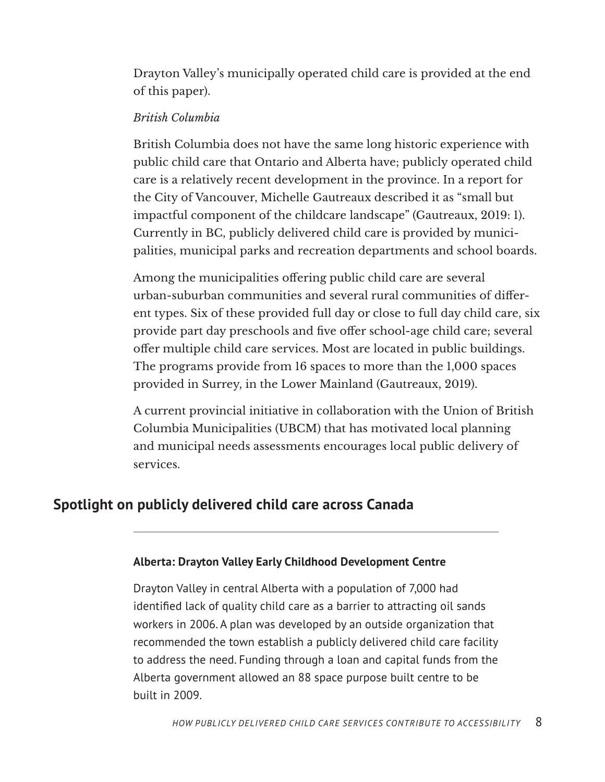Drayton Valley's municipally operated child care is provided at the end of this paper).

#### *British Columbia*

British Columbia does not have the same long historic experience with public child care that Ontario and Alberta have; publicly operated child care is a relatively recent development in the province. In a report for the City of Vancouver, Michelle Gautreaux described it as "small but impactful component of the childcare landscape" (Gautreaux, 2019: 1). Currently in BC, publicly delivered child care is provided by municipalities, municipal parks and recreation departments and school boards.

Among the municipalities offering public child care are several urban-suburban communities and several rural communities of different types. Six of these provided full day or close to full day child care, six provide part day preschools and five offer school-age child care; several offer multiple child care services. Most are located in public buildings. The programs provide from 16 spaces to more than the 1,000 spaces provided in Surrey, in the Lower Mainland (Gautreaux, 2019).

A current provincial initiative in collaboration with the Union of British Columbia Municipalities (UBCM) that has motivated local planning and municipal needs assessments encourages local public delivery of services.

## **Spotlight on publicly delivered child care across Canada**

#### **Alberta: Drayton Valley Early Childhood Development Centre**

Drayton Valley in central Alberta with a population of 7,000 had identified lack of quality child care as a barrier to attracting oil sands workers in 2006. A plan was developed by an outside organization that recommended the town establish a publicly delivered child care facility to address the need. Funding through a loan and capital funds from the Alberta government allowed an 88 space purpose built centre to be built in 2009.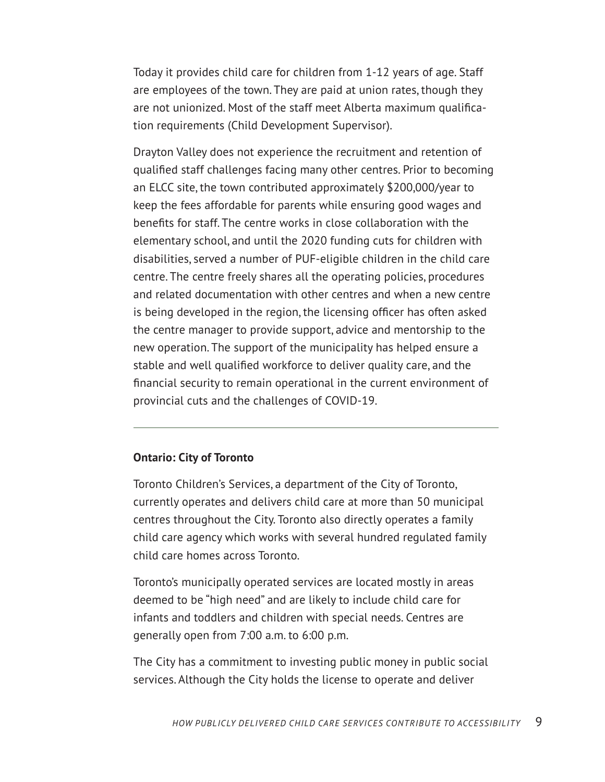Today it provides child care for children from 1-12 years of age. Staff are employees of the town. They are paid at union rates, though they are not unionized. Most of the staff meet Alberta maximum qualification requirements (Child Development Supervisor).

Drayton Valley does not experience the recruitment and retention of qualified staff challenges facing many other centres. Prior to becoming an ELCC site, the town contributed approximately \$200,000/year to keep the fees affordable for parents while ensuring good wages and benefits for staff. The centre works in close collaboration with the elementary school, and until the 2020 funding cuts for children with disabilities, served a number of PUF-eligible children in the child care centre. The centre freely shares all the operating policies, procedures and related documentation with other centres and when a new centre is being developed in the region, the licensing officer has often asked the centre manager to provide support, advice and mentorship to the new operation. The support of the municipality has helped ensure a stable and well qualified workforce to deliver quality care, and the financial security to remain operational in the current environment of provincial cuts and the challenges of COVID-19.

#### **Ontario: City of Toronto**

Toronto Children's Services, a department of the City of Toronto, currently operates and delivers child care at more than 50 municipal centres throughout the City. Toronto also directly operates a family child care agency which works with several hundred regulated family child care homes across Toronto.

Toronto's municipally operated services are located mostly in areas deemed to be "high need" and are likely to include child care for infants and toddlers and children with special needs. Centres are generally open from 7:00 a.m. to 6:00 p.m.

The City has a commitment to investing public money in public social services. Although the City holds the license to operate and deliver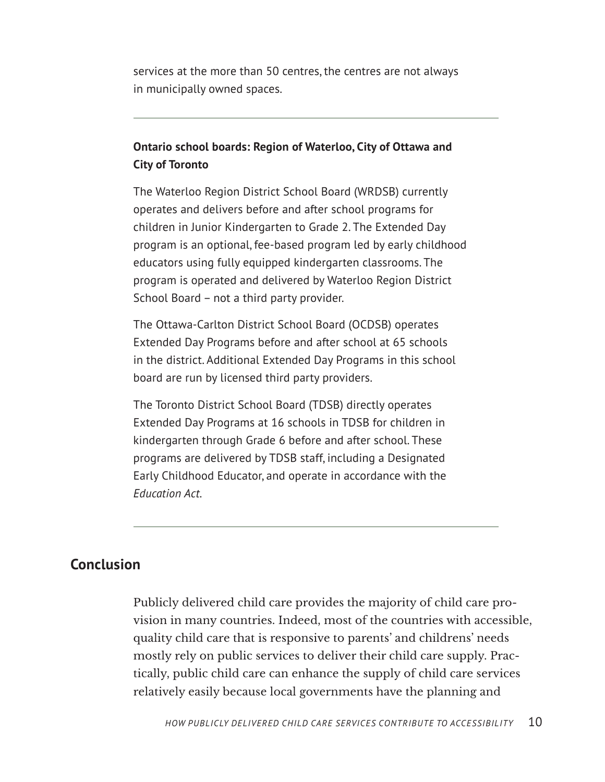services at the more than 50 centres, the centres are not always in municipally owned spaces.

## **Ontario school boards: Region of Waterloo, City of Ottawa and City of Toronto**

The Waterloo Region District School Board (WRDSB) currently operates and delivers before and after school programs for children in Junior Kindergarten to Grade 2. The Extended Day program is an optional, fee-based program led by early childhood educators using fully equipped kindergarten classrooms. The program is operated and delivered by Waterloo Region District School Board – not a third party provider.

The Ottawa-Carlton District School Board (OCDSB) operates Extended Day Programs before and after school at 65 schools in the district. Additional Extended Day Programs in this school board are run by licensed third party providers.

The Toronto District School Board (TDSB) directly operates Extended Day Programs at 16 schools in TDSB for children in kindergarten through Grade 6 before and after school. These programs are delivered by TDSB staff, including a Designated Early Childhood Educator, and operate in accordance with the *Education Act*.

## **Conclusion**

Publicly delivered child care provides the majority of child care provision in many countries. Indeed, most of the countries with accessible, quality child care that is responsive to parents' and childrens' needs mostly rely on public services to deliver their child care supply. Practically, public child care can enhance the supply of child care services relatively easily because local governments have the planning and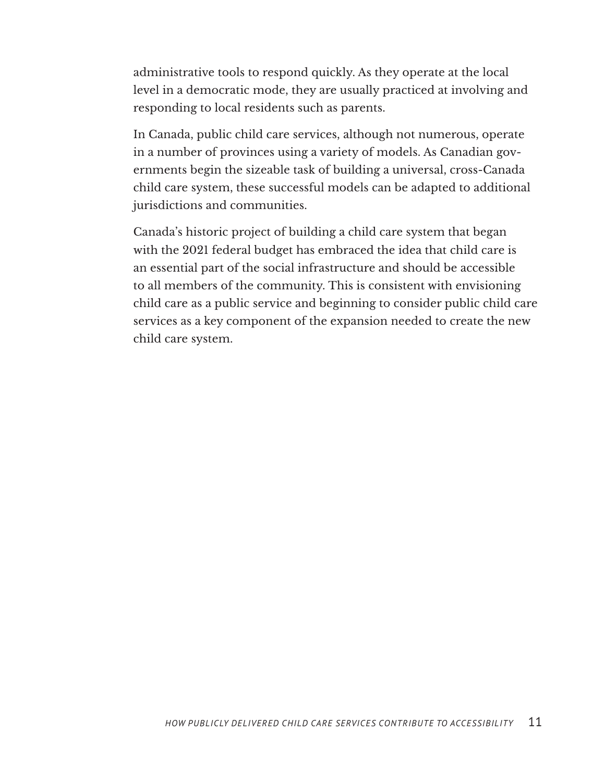administrative tools to respond quickly. As they operate at the local level in a democratic mode, they are usually practiced at involving and responding to local residents such as parents.

In Canada, public child care services, although not numerous, operate in a number of provinces using a variety of models. As Canadian governments begin the sizeable task of building a universal, cross-Canada child care system, these successful models can be adapted to additional jurisdictions and communities.

Canada's historic project of building a child care system that began with the 2021 federal budget has embraced the idea that child care is an essential part of the social infrastructure and should be accessible to all members of the community. This is consistent with envisioning child care as a public service and beginning to consider public child care services as a key component of the expansion needed to create the new child care system.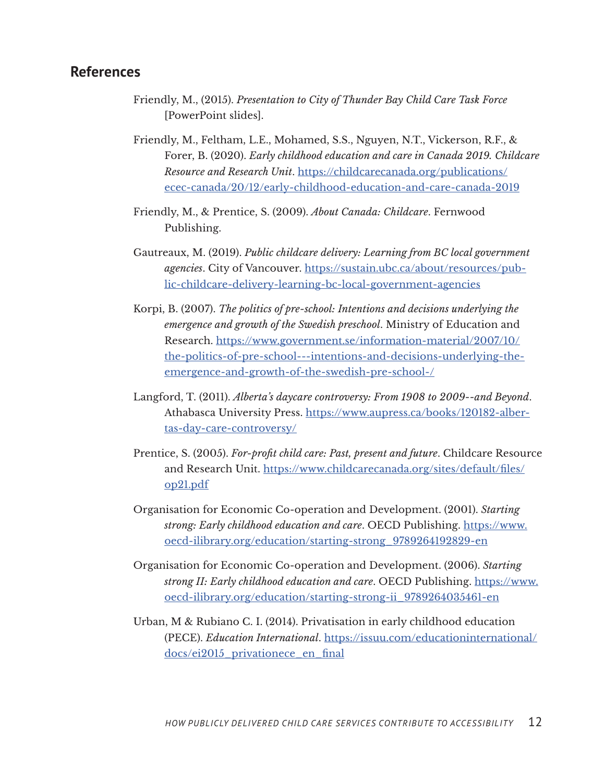#### **References**

- Friendly, M., (2015). *Presentation to City of Thunder Bay Child Care Task Force* [PowerPoint slides].
- Friendly, M., Feltham, L.E., Mohamed, S.S., Nguyen, N.T., Vickerson, R.F., & Forer, B. (2020). *Early childhood education and care in Canada 2019. Childcare Resource and Research Unit*. [https://childcarecanada.org/publications/](https://childcarecanada.org/publications/ecec-canada/20/12/early-childhood-education-and-care-canada-2019) [ecec-canada/20/12/early-childhood-education-and-care-canada-2019](https://childcarecanada.org/publications/ecec-canada/20/12/early-childhood-education-and-care-canada-2019)
- Friendly, M., & Prentice, S. (2009). *About Canada: Childcare*. Fernwood Publishing.
- Gautreaux, M. (2019). *Public childcare delivery: Learning from BC local government agencies*. City of Vancouver. [https://sustain.ubc.ca/about/resources/pub](https://sustain.ubc.ca/about/resources/public-childcare-delivery-learning-bc-local-government-agencies)[lic-childcare-delivery-learning-bc-local-government-agencies](https://sustain.ubc.ca/about/resources/public-childcare-delivery-learning-bc-local-government-agencies)
- Korpi, B. (2007). *The politics of pre-school: Intentions and decisions underlying the emergence and growth of the Swedish preschool*. Ministry of Education and Research. [https://www.government.se/information-material/2007/10/](https://www.government.se/information-material/2007/10/the-politics-of-pre-school---intentions-and-decisions-underlying-the-emergence-and-growth-of-the-swedish-pre-school-/) [the-politics-of-pre-school---intentions-and-decisions-underlying-the](https://www.government.se/information-material/2007/10/the-politics-of-pre-school---intentions-and-decisions-underlying-the-emergence-and-growth-of-the-swedish-pre-school-/)[emergence-and-growth-of-the-swedish-pre-school-/](https://www.government.se/information-material/2007/10/the-politics-of-pre-school---intentions-and-decisions-underlying-the-emergence-and-growth-of-the-swedish-pre-school-/)
- Langford, T. (2011). *Alberta's daycare controversy: From 1908 to 2009--and Beyond*. Athabasca University Press. [https://www.aupress.ca/books/120182-alber](https://www.aupress.ca/books/120182-albertas-day-care-controversy/)[tas-day-care-controversy/](https://www.aupress.ca/books/120182-albertas-day-care-controversy/)
- Prentice, S. (2005). *For-profit child care: Past, present and future*. Childcare Resource and Research Unit. [https://www.childcarecanada.org/sites/default/files/](https://www.childcarecanada.org/sites/default/files/op21.pdf) [op21.pdf](https://www.childcarecanada.org/sites/default/files/op21.pdf)
- Organisation for Economic Co-operation and Development. (2001). *Starting strong: Early childhood education and care*. OECD Publishing. [https://www.](https://www.oecd-ilibrary.org/education/starting-strong_9789264192829-en) [oecd-ilibrary.org/education/starting-strong\\_9789264192829-en](https://www.oecd-ilibrary.org/education/starting-strong_9789264192829-en)
- Organisation for Economic Co-operation and Development. (2006). *Starting strong II: Early childhood education and care*. OECD Publishing. [https://www.](https://www.oecd-ilibrary.org/education/starting-strong-ii_9789264035461-en) [oecd-ilibrary.org/education/starting-strong-ii\\_9789264035461-en](https://www.oecd-ilibrary.org/education/starting-strong-ii_9789264035461-en)
- Urban, M & Rubiano C. I. (2014). Privatisation in early childhood education (PECE). *Education International*. [https://issuu.com/educationinternational/](https://issuu.com/educationinternational/docs/ei2015_privationece_en_final) [docs/ei2015\\_privationece\\_en\\_final](https://issuu.com/educationinternational/docs/ei2015_privationece_en_final)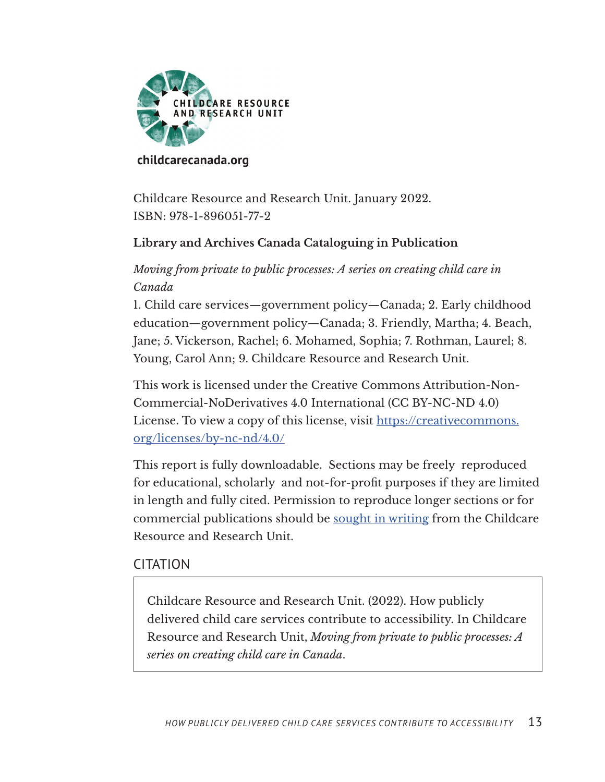

#### **[childcarecanada.org](https://childcarecanada.org)**

Childcare Resource and Research Unit. January 2022. ISBN: 978-1-896051-77-2

## **Library and Archives Canada Cataloguing in Publication**

*Moving from private to public processes: A series on creating child care in Canada*

1. Child care services—government policy—Canada; 2. Early childhood education—government policy—Canada; 3. Friendly, Martha; 4. Beach, Jane; 5. Vickerson, Rachel; 6. Mohamed, Sophia; 7. Rothman, Laurel; 8. Young, Carol Ann; 9. Childcare Resource and Research Unit.

This work is licensed under the Creative Commons Attribution-Non-Commercial-NoDerivatives 4.0 International (CC BY-NC-ND 4.0) License. To view a copy of this license, visit https://creativecommons. org/licenses/by-nc-nd/4.0/

This report is fully downloadable. Sections may be freely reproduced for educational, scholarly and not-for-profit purposes if they are limited in length and fully cited. Permission to reproduce longer sections or for commercial publications should be sought in writing from the Childcare Resource and Research Unit.

#### CITATION

Childcare Resource and Research Unit. (2022). How publicly delivered child care services contribute to accessibility. In Childcare Resource and Research Unit, *Moving from private to public processes: A series on creating child care in Canada*.